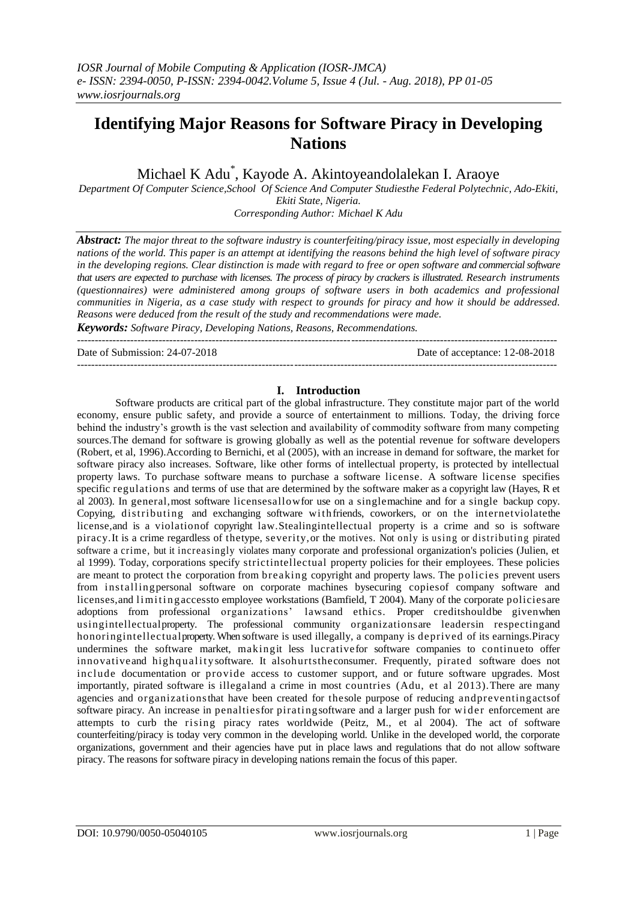# **Identifying Major Reasons for Software Piracy in Developing Nations**

Michael K Adu\* , Kayode A. Akintoyeandolalekan I. Araoye

*Department Of Computer Science,School Of Science And Computer Studiesthe Federal Polytechnic, Ado-Ekiti, Ekiti State, Nigeria. Corresponding Author: Michael K Adu*

*Abstract: The major threat to the software industry is counterfeiting/piracy issue, most especially in developing nations of the world. This paper is an attempt at identifying the reasons behind the high level of software piracy in the developing regions. Clear distinction is made with regard to free or open software and commercial software that users are expected to purchase with licenses. The process of piracy by crackers is illustrated. Research instruments (questionnaires) were administered among groups of software users in both academics and professional communities in Nigeria, as a case study with respect to grounds for piracy and how it should be addressed. Reasons were deduced from the result of the study and recommendations were made.*

 $-1\leq i\leq n-1\leq n-1\leq n-1\leq n-1\leq n-1\leq n-1\leq n-1\leq n-1\leq n-1\leq n-1\leq n-1\leq n-1\leq n-1\leq n-1\leq n-1\leq n-1\leq n-1\leq n-1\leq n-1\leq n-1\leq n-1\leq n-1\leq n-1\leq n-1\leq n-1\leq n-1\leq n-1\leq n-1\leq n-1\leq n-1\leq n-1\leq n-1\leq n-1\leq n-1\leq n-1\leq n$ 

*Keywords: Software Piracy, Developing Nations, Reasons, Recommendations.*

---------------------------------------------------------------------------------------------------------------------------------------

Date of Submission: 24-07-2018 Date of acceptance: 12-08-2018

#### **I. Introduction**

Software products are critical part of the global infrastructure. They constitute major part of the world economy, ensure public safety, and provide a source of entertainment to millions. Today, the driving force behind the industry's growth is the vast selection and availability of commodity software from many competing sources.The demand for software is growing globally as well as the potential revenue for software developers (Robert, et al, 1996).According to Bernichi, et al (2005), with an increase in demand for software, the market for software piracy also increases. Software, like other forms of intellectual property, is protected by intellectual property laws. To purchase software means to purchase a software license. A software license specifies specific regulations and terms of use that are determined by the software maker as a copyright law (Hayes, R et al 2003). In general,most software licensesallowfor use on a singlemachine and for a single backup copy. Copying, distributing and exchanging software withfriends, coworkers, or on the internetviolatethe license,and is a violationof copyright law.Stealingintellectual property is a crime and so is software piracy.It is a crime regardless of thetype, severity,or the motives. Not only is using or distributing pirated software a crime, but it increasingly violates many corporate and professional organization's policies (Julien, et al 1999). Today, corporations specify strictintellectual property policies for their employees. These policies are meant to protect the corporation from breaking copyright and property laws. The policies prevent users from installingpersonal software on corporate machines bysecuring copiesof company software and licenses, and limiting access to employee workstations (Bamfield, T 2004). Many of the corporate policies are adoptions from professional organizations' lawsand ethics. Proper creditshouldbe givenwhen usingintellectualproperty. The professional community organizationsare leadersin respectingand honoringintellectualproperty. When software is used illegally, a company is deprived of its earnings.Piracy undermines the software market, makingit less lucrativefor software companies to continueto offer innovative and highquality software. It alsohurts the consumer. Frequently, pirated software does not include documentation or provide access to customer support, and or future software upgrades. Most importantly, pirated software is illegaland a crime in most countries (Adu, et al 2013).There are many agencies and organizationsthat have been created for thesole purpose of reducing andpreventingactsof software piracy. An increase in penaltiesfor piratingsoftware and a larger push for wid er enforcement are attempts to curb the rising piracy rates worldwide (Peitz, M., et al 2004). The act of software counterfeiting/piracy is today very common in the developing world. Unlike in the developed world, the corporate organizations, government and their agencies have put in place laws and regulations that do not allow software piracy. The reasons for software piracy in developing nations remain the focus of this paper.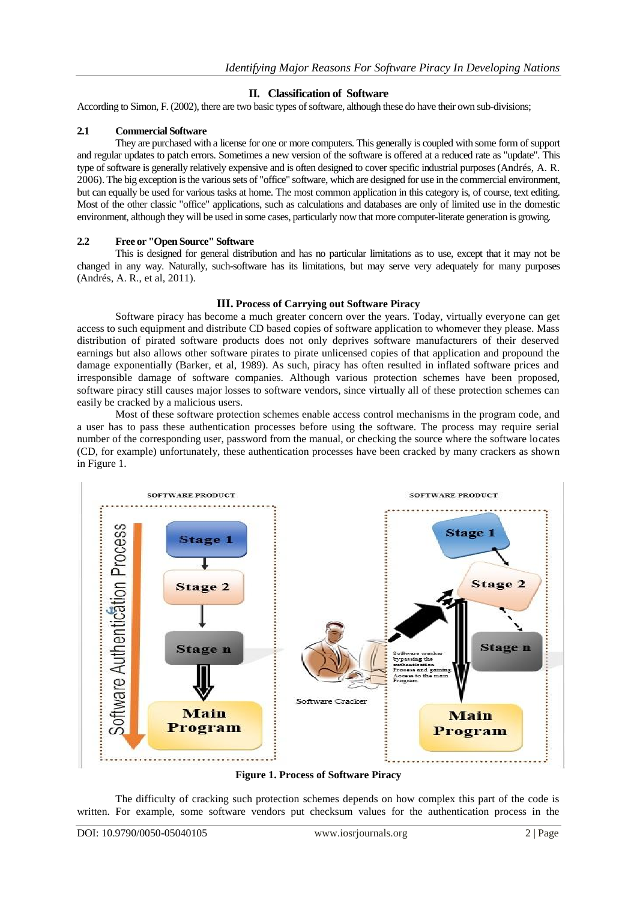# **II. Classification of Software**

According to Simon, F. (2002), there are two basic types of software, although these do have their own sub-divisions;

# **2.1 Commercial Software**

They are purchased with a license for one or more computers. This generally is coupled with some form of support and regular updates to patch errors. Sometimes a new version of the software is offered at a reduced rate as "update". This type of software is generally relatively expensive and is often designed to cover specific industrial purposes (Andrés, A. R. 2006). The big exception is the various sets of "office" software, which are designed for use in the commercial environment, but can equally be used for various tasks at home. The most common application in this category is, of course, text editing. Most of the other classic "office" applications, such as calculations and databases are only of limited use in the domestic environment, although they will be used in some cases, particularly now that more computer-literate generation is growing.

# **2.2 Free or "Open Source" Software**

This is designed for general distribution and has no particular limitations as to use, except that it may not be changed in any way. Naturally, such-software has its limitations, but may serve very adequately for many purposes (Andrés, A. R., et al, 2011).

# **III. Process of Carrying out Software Piracy**

Software piracy has become a much greater concern over the years. Today, virtually everyone can get access to such equipment and distribute CD based copies of software application to whomever they please. Mass distribution of pirated software products does not only deprives software manufacturers of their deserved earnings but also allows other software pirates to pirate unlicensed copies of that application and propound the damage exponentially (Barker, et al, 1989). As such, piracy has often resulted in inflated software prices and irresponsible damage of software companies. Although various protection schemes have been proposed, software piracy still causes major losses to software vendors, since virtually all of these protection schemes can easily be cracked by a malicious users.

Most of these software protection schemes enable access control mechanisms in the program code, and a user has to pass these authentication processes before using the software. The process may require serial number of the corresponding user, password from the manual, or checking the source where the software locates (CD, for example) unfortunately, these authentication processes have been cracked by many crackers as shown in Figure 1.



**Figure 1. Process of Software Piracy**

The difficulty of cracking such protection schemes depends on how complex this part of the code is written. For example, some software vendors put checksum values for the authentication process in the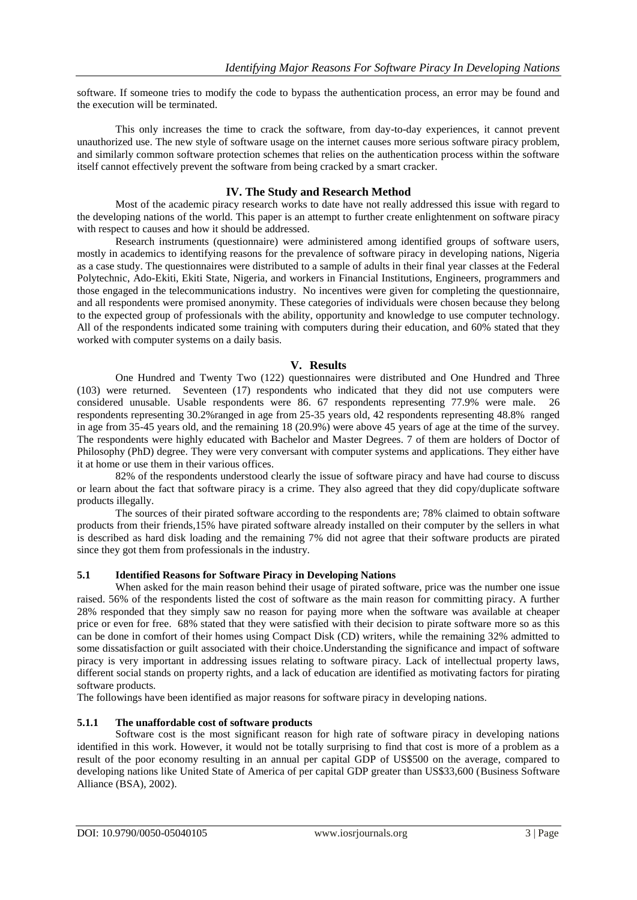software. If someone tries to modify the code to bypass the authentication process, an error may be found and the execution will be terminated.

This only increases the time to crack the software, from day-to-day experiences, it cannot prevent unauthorized use. The new style of software usage on the internet causes more serious software piracy problem, and similarly common software protection schemes that relies on the authentication process within the software itself cannot effectively prevent the software from being cracked by a smart cracker.

# **IV. The Study and Research Method**

Most of the academic piracy research works to date have not really addressed this issue with regard to the developing nations of the world. This paper is an attempt to further create enlightenment on software piracy with respect to causes and how it should be addressed.

Research instruments (questionnaire) were administered among identified groups of software users, mostly in academics to identifying reasons for the prevalence of software piracy in developing nations, Nigeria as a case study. The questionnaires were distributed to a sample of adults in their final year classes at the Federal Polytechnic, Ado-Ekiti, Ekiti State, Nigeria, and workers in Financial Institutions, Engineers, programmers and those engaged in the telecommunications industry. No incentives were given for completing the questionnaire, and all respondents were promised anonymity. These categories of individuals were chosen because they belong to the expected group of professionals with the ability, opportunity and knowledge to use computer technology. All of the respondents indicated some training with computers during their education, and 60% stated that they worked with computer systems on a daily basis.

#### **V. Results**

One Hundred and Twenty Two (122) questionnaires were distributed and One Hundred and Three (103) were returned. Seventeen (17) respondents who indicated that they did not use computers were considered unusable. Usable respondents were 86. 67 respondents representing 77.9% were male. 26 respondents representing 30.2%ranged in age from 25-35 years old, 42 respondents representing 48.8% ranged in age from 35-45 years old, and the remaining 18 (20.9%) were above 45 years of age at the time of the survey. The respondents were highly educated with Bachelor and Master Degrees. 7 of them are holders of Doctor of Philosophy (PhD) degree. They were very conversant with computer systems and applications. They either have it at home or use them in their various offices.

82% of the respondents understood clearly the issue of software piracy and have had course to discuss or learn about the fact that software piracy is a crime. They also agreed that they did copy/duplicate software products illegally.

The sources of their pirated software according to the respondents are; 78% claimed to obtain software products from their friends,15% have pirated software already installed on their computer by the sellers in what is described as hard disk loading and the remaining 7% did not agree that their software products are pirated since they got them from professionals in the industry.

#### **5.1 Identified Reasons for Software Piracy in Developing Nations**

When asked for the main reason behind their usage of pirated software, price was the number one issue raised. 56% of the respondents listed the cost of software as the main reason for committing piracy. A further 28% responded that they simply saw no reason for paying more when the software was available at cheaper price or even for free. 68% stated that they were satisfied with their decision to pirate software more so as this can be done in comfort of their homes using Compact Disk (CD) writers, while the remaining 32% admitted to some dissatisfaction or guilt associated with their choice.Understanding the significance and impact of software piracy is very important in addressing issues relating to software piracy. Lack of intellectual property laws, different social stands on property rights, and a lack of education are identified as motivating factors for pirating software products.

The followings have been identified as major reasons for software piracy in developing nations.

# **5.1.1 The unaffordable cost of software products**

Software cost is the most significant reason for high rate of software piracy in developing nations identified in this work. However, it would not be totally surprising to find that cost is more of a problem as a result of the poor economy resulting in an annual per capital GDP of US\$500 on the average, compared to developing nations like United State of America of per capital GDP greater than US\$33,600 (Business Software Alliance (BSA), 2002).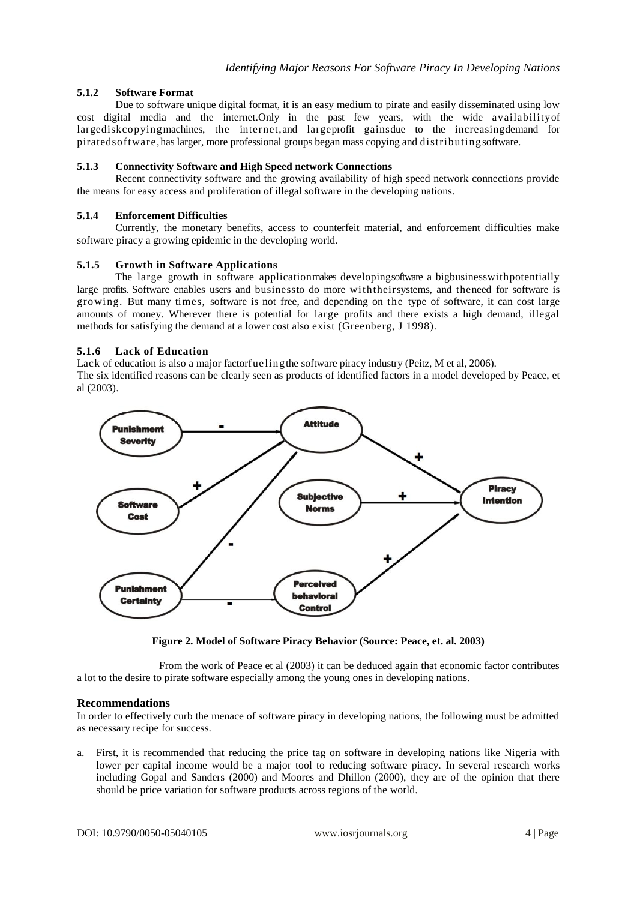# **5.1.2 Software Format**

Due to software unique digital format, it is an easy medium to pirate and easily disseminated using low cost digital media and the internet.Only in the past few years, with the wide availabilityof largediskcopyingmachines, the internet,and largeprofit gainsdue to the increasingdemand for piratedsoftware,has larger, more professional groups began mass copying and distributingsoftware.

#### **5.1.3 Connectivity Software and High Speed network Connections**

Recent connectivity software and the growing availability of high speed network connections provide the means for easy access and proliferation of illegal software in the developing nations.

#### **5.1.4 Enforcement Difficulties**

Currently, the monetary benefits, access to counterfeit material, and enforcement difficulties make software piracy a growing epidemic in the developing world.

#### **5.1.5 Growth in Software Applications**

The large growth in software applicationmakes developingsoftware a bigbusinesswithpotentially large profits. Software enables users and businessto do more withtheirsystems, and theneed for software is growing. But many times, software is not free, and depending on the type of software, it can cost large amounts of money. Wherever there is potential for large profits and there exists a high demand, illegal methods for satisfying the demand at a lower cost also exist (Greenberg, J 1998).

#### **5.1.6 Lack of Education**

Lack of education is also a major factorfuelingthe software piracy industry (Peitz, M et al, 2006). The six identified reasons can be clearly seen as products of identified factors in a model developed by Peace, et al (2003).



**Figure 2. Model of Software Piracy Behavior (Source: Peace, et. al. 2003)**

From the work of Peace et al (2003) it can be deduced again that economic factor contributes a lot to the desire to pirate software especially among the young ones in developing nations.

# **Recommendations**

In order to effectively curb the menace of software piracy in developing nations, the following must be admitted as necessary recipe for success.

a. First, it is recommended that reducing the price tag on software in developing nations like Nigeria with lower per capital income would be a major tool to reducing software piracy. In several research works including Gopal and Sanders (2000) and Moores and Dhillon (2000), they are of the opinion that there should be price variation for software products across regions of the world.